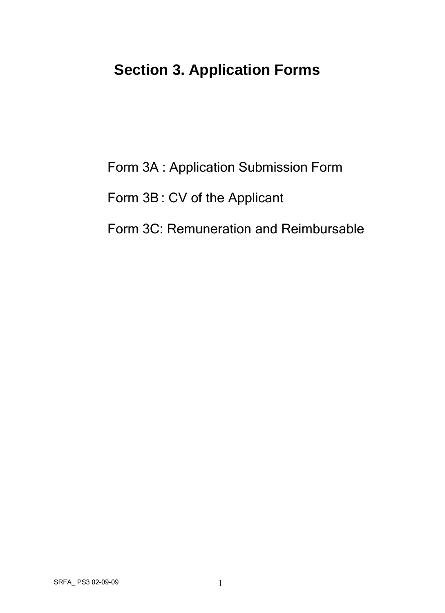## **Section 3. Application Forms**

Form 3A : Application Submission Form

Form 3B: CV of the Applicant

Form 3C: Remuneration and Reimbursable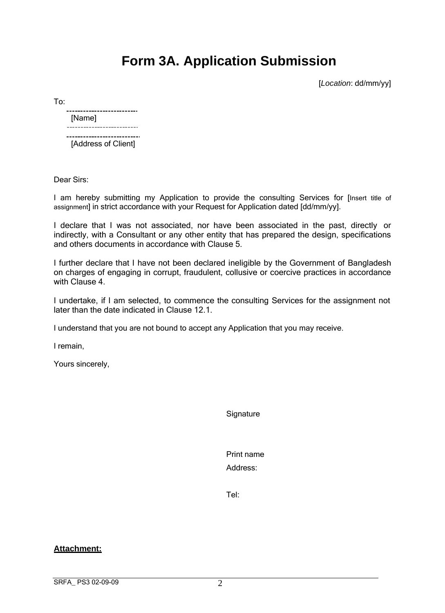## **Form 3A. Application Submission**

[*Location*: dd/mm/yy]

To:

## [Name]<br>-------------------------------------------------[Address of Client]

Dear Sirs:

I am hereby submitting my Application to provide the consulting Services for [Insert title of assignment] in strict accordance with your Request for Application dated [dd/mm/yy].

I declare that I was not associated, nor have been associated in the past, directly or indirectly, with a Consultant or any other entity that has prepared the design, specifications and others documents in accordance with Clause 5.

I further declare that I have not been declared ineligible by the Government of Bangladesh on charges of engaging in corrupt, fraudulent, collusive or coercive practices in accordance with Clause 4.

I undertake, if I am selected, to commence the consulting Services for the assignment not later than the date indicated in Clause 12.1.

I understand that you are not bound to accept any Application that you may receive.

I remain,

Yours sincerely,

**Signature** 

Print name Address:

Tel:

**Attachment:**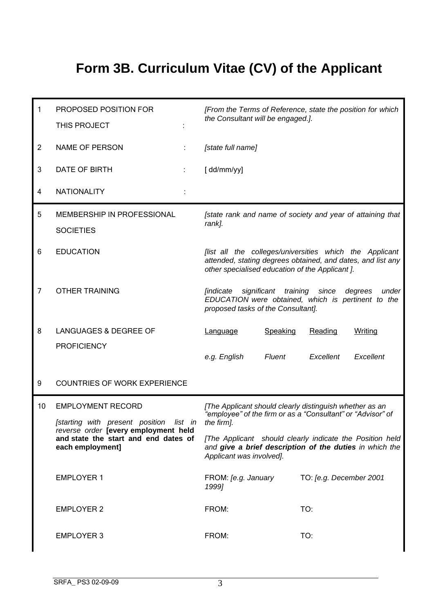## **Form 3B. Curriculum Vitae (CV) of the Applicant**

| 1              | PROPOSED POSITION FOR<br>THIS PROJECT                                                                                                              | [From the Terms of Reference, state the position for which<br>the Consultant will be engaged.].                                                                           |  |
|----------------|----------------------------------------------------------------------------------------------------------------------------------------------------|---------------------------------------------------------------------------------------------------------------------------------------------------------------------------|--|
| $\overline{2}$ | <b>NAME OF PERSON</b>                                                                                                                              | [state full name]                                                                                                                                                         |  |
| 3              | DATE OF BIRTH<br>÷                                                                                                                                 | [dd/mm/yy]                                                                                                                                                                |  |
| 4              | <b>NATIONALITY</b>                                                                                                                                 |                                                                                                                                                                           |  |
| 5              | MEMBERSHIP IN PROFESSIONAL<br><b>SOCIETIES</b>                                                                                                     | [state rank and name of society and year of attaining that<br>rank].                                                                                                      |  |
| 6              | <b>EDUCATION</b>                                                                                                                                   | [list all the colleges/universities which the Applicant<br>attended, stating degrees obtained, and dates, and list any<br>other specialised education of the Applicant ]. |  |
| 7              | <b>OTHER TRAINING</b>                                                                                                                              | significant training<br><i><b>[indicate</b></i><br>since<br>degrees<br>under<br>EDUCATION were obtained, which is pertinent to the<br>proposed tasks of the Consultant].  |  |
| 8              | LANGUAGES & DEGREE OF                                                                                                                              | Speaking<br>Writing<br>Reading<br>Language                                                                                                                                |  |
|                | <b>PROFICIENCY</b>                                                                                                                                 | e.g. English<br>Fluent<br>Excellent<br>Excellent                                                                                                                          |  |
| 9              | <b>COUNTRIES OF WORK EXPERIENCE</b>                                                                                                                |                                                                                                                                                                           |  |
| 10             | <b>EMPLOYMENT RECORD</b>                                                                                                                           | [The Applicant should clearly distinguish whether as an<br>"employee" of the firm or as a "Consultant" or "Advisor" of<br>the firm].                                      |  |
|                | [starting with present position list in<br>reverse order <b>[every employment held</b><br>and state the start and end dates of<br>each employment] |                                                                                                                                                                           |  |
|                |                                                                                                                                                    | [The Applicant should clearly indicate the Position held]<br>and give a brief description of the duties in which the<br>Applicant was involved].                          |  |
|                | <b>EMPLOYER 1</b>                                                                                                                                  | FROM: [e.g. January<br>TO: [e.g. December 2001<br>1999]                                                                                                                   |  |
|                | <b>EMPLOYER 2</b>                                                                                                                                  | TO:<br>FROM:                                                                                                                                                              |  |
|                | <b>EMPLOYER 3</b>                                                                                                                                  | FROM:<br>TO:                                                                                                                                                              |  |